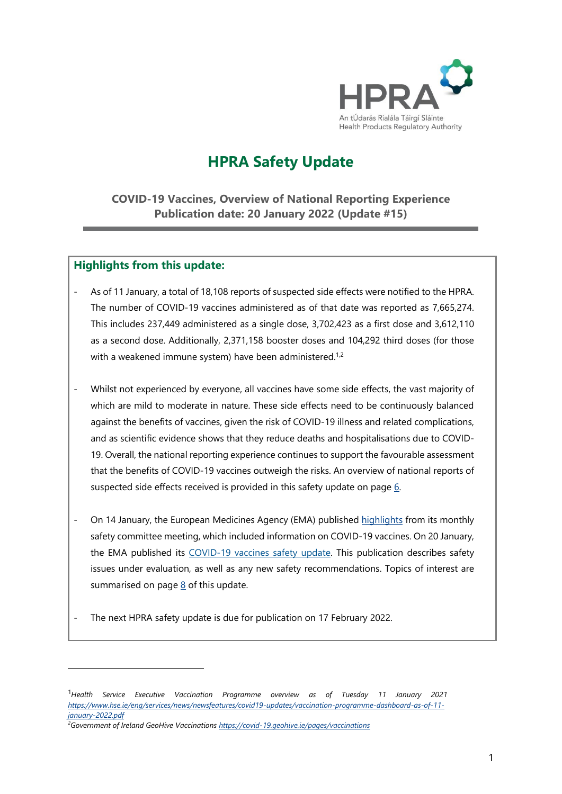

# **HPRA Safety Update**

**COVID-19 Vaccines, Overview of National Reporting Experience Publication date: 20 January 2022 (Update #15)**

### **Highlights from this update:**

 $\overline{a}$ 

- As of 11 January, a total of 18,108 reports of suspected side effects were notified to the HPRA. The number of COVID-19 vaccines administered as of that date was reported as 7,665,274. This includes 237,449 administered as a single dose, 3,702,423 as a first dose and 3,612,110 as a second dose. Additionally, 2,371,158 booster doses and 104,292 third doses (for those with a weakened immune system) have been administered.<sup>1,2</sup>
- Whilst not experienced by everyone, all vaccines have some side effects, the vast majority of which are mild to moderate in nature. These side effects need to be continuously balanced against the benefits of vaccines, given the risk of COVID-19 illness and related complications, and as scientific evidence shows that they reduce deaths and hospitalisations due to COVID-19. Overall, the national reporting experience continues to support the favourable assessment that the benefits of COVID-19 vaccines outweigh the risks. An overview of national reports of suspected side effects received is provided in this safety update on page [6.](#page-5-0)
- On 14 January, the European Medicines Agency (EMA) published [highlights](https://www.ema.europa.eu/en/news/meeting-highlights-pharmacovigilance-risk-assessment-committee-prac-10-13-january-2022) from its monthly safety committee meeting, which included information o[n COVID-19 vaccines.](https://www.ema.europa.eu/en/news/meeting-highlights-pharmacovigilance-risk-assessment-committee-prac-7-10-june-2021) On 20 January, the EMA published its [COVID-19 vaccines](https://www.ema.europa.eu/en/documents/covid-19-vaccine-safety-update/covid-19-vaccines-safety-update-20-january-2022_en.pdf) safety update. This publication describes safety issues under evaluation, as well as any new safety recommendations. Topics of interest are summarised on page  $8$  of this update.
- The next HPRA safety update is due for publication on 17 February 2022.

<span id="page-0-0"></span><sup>1</sup>*Health Service Executive Vaccination Programme overview as of Tuesday 11 January 2021 [https://www.hse.ie/eng/services/news/newsfeatures/covid19-updates/vaccination-programme-dashboard-as-of-11](https://www.hse.ie/eng/services/news/newsfeatures/covid19-updates/vaccination-programme-dashboard-as-of-11-january-2022.pdf) [january-2022.pdf](https://www.hse.ie/eng/services/news/newsfeatures/covid19-updates/vaccination-programme-dashboard-as-of-11-january-2022.pdf)*

<span id="page-0-1"></span>*<sup>2</sup>Government of Ireland GeoHive Vaccinations<https://covid-19.geohive.ie/pages/vaccinations>*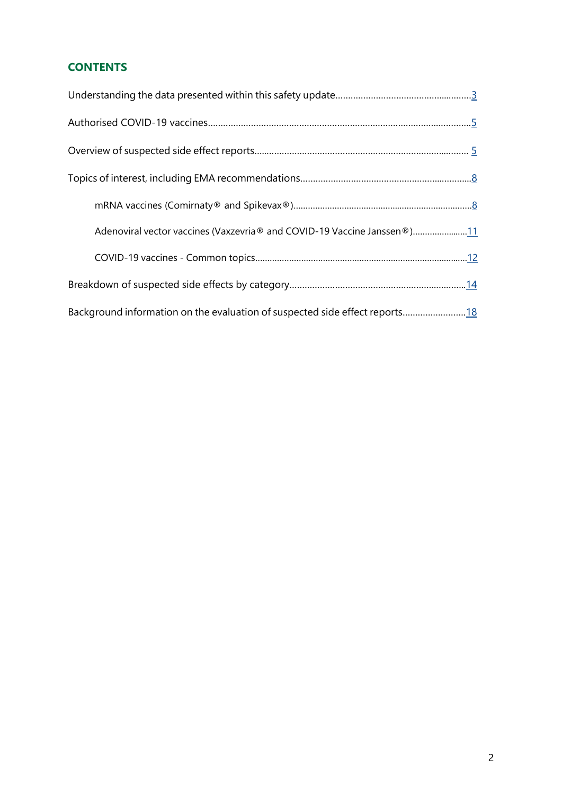## **CONTENTS**

| Adenoviral vector vaccines (Vaxzevria® and COVID-19 Vaccine Janssen®)11     |  |
|-----------------------------------------------------------------------------|--|
|                                                                             |  |
|                                                                             |  |
| Background information on the evaluation of suspected side effect reports18 |  |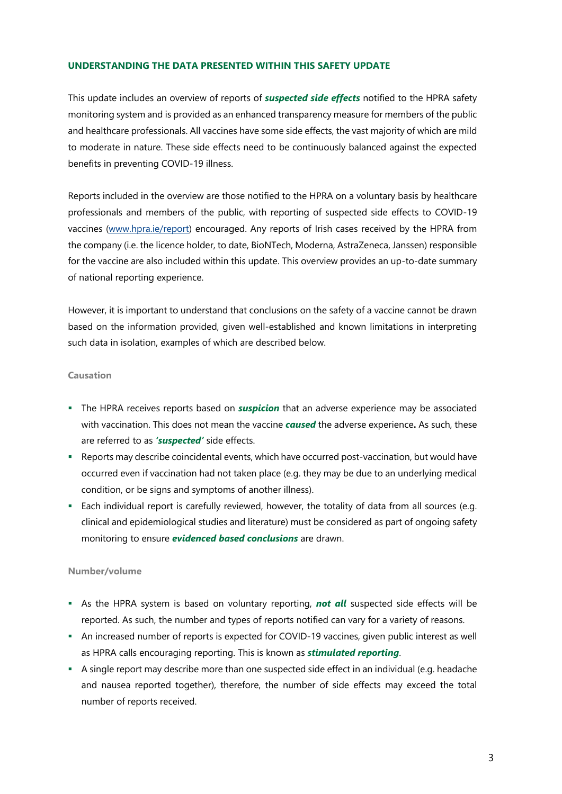#### <span id="page-2-0"></span>**UNDERSTANDING THE DATA PRESENTED WITHIN THIS SAFETY UPDATE**

This update includes an overview of reports of *suspected side effects* notified to the HPRA safety monitoring system and is provided as an enhanced transparency measure for members of the public and healthcare professionals. All vaccines have some side effects, the vast majority of which are mild to moderate in nature. These side effects need to be continuously balanced against the expected benefits in preventing COVID-19 illness.

Reports included in the overview are those notified to the HPRA on a voluntary basis by healthcare professionals and members of the public, with reporting of suspected side effects to COVID-19 vaccines [\(www.hpra.ie/report\)](http://www.hpra.ie/report) encouraged. Any reports of Irish cases received by the HPRA from the company (i.e. the licence holder, to date, BioNTech, Moderna, AstraZeneca, Janssen) responsible for the vaccine are also included within this update. This overview provides an up-to-date summary of national reporting experience.

However, it is important to understand that conclusions on the safety of a vaccine cannot be drawn based on the information provided, given well-established and known limitations in interpreting such data in isolation, examples of which are described below.

#### **Causation**

- The HPRA receives reports based on *suspicion* that an adverse experience may be associated with vaccination. This does not mean the vaccine *caused* the adverse experience**.** As such, these are referred to as *'suspected'* side effects.
- Reports may describe coincidental events, which have occurred post-vaccination, but would have occurred even if vaccination had not taken place (e.g. they may be due to an underlying medical condition, or be signs and symptoms of another illness).
- Each individual report is carefully reviewed, however, the totality of data from all sources (e.g. clinical and epidemiological studies and literature) must be considered as part of ongoing safety monitoring to ensure *evidenced based conclusions* are drawn.

#### **Number/volume**

- As the HPRA system is based on voluntary reporting, *not all* suspected side effects will be reported. As such, the number and types of reports notified can vary for a variety of reasons.
- An increased number of reports is expected for COVID-19 vaccines, given public interest as well as HPRA calls encouraging reporting. This is known as *stimulated reporting*.
- A single report may describe more than one suspected side effect in an individual (e.g. headache and nausea reported together), therefore, the number of side effects may exceed the total number of reports received.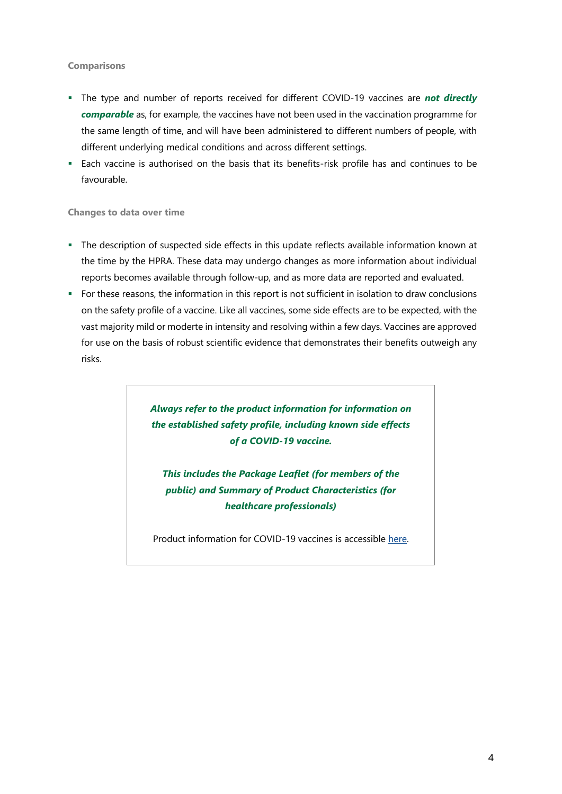#### **Comparisons**

- The type and number of reports received for different COVID-19 vaccines are **not directly** *comparable* as, for example, the vaccines have not been used in the vaccination programme for the same length of time, and will have been administered to different numbers of people, with different underlying medical conditions and across different settings.
- Each vaccine is authorised on the basis that its benefits-risk profile has and continues to be favourable.

**Changes to data over time**

- The description of suspected side effects in this update reflects available information known at the time by the HPRA. These data may undergo changes as more information about individual reports becomes available through follow-up, and as more data are reported and evaluated.
- For these reasons, the information in this report is not sufficient in isolation to draw conclusions on the safety profile of a vaccine. Like all vaccines, some side effects are to be expected, with the vast majority mild or moderte in intensity and resolving within a few days. Vaccines are approved for use on the basis of robust scientific evidence that demonstrates their benefits outweigh any risks.

*Always refer to the product information for information on the established safety profile, including known side effects of a COVID-19 vaccine.*

*This includes the Package Leaflet (for members of the public) and Summary of Product Characteristics (for healthcare professionals)*

<span id="page-3-0"></span>Product information for COVID-19 vaccines is accessible [here.](https://www.hpra.ie/homepage/medicines/covid-19-updates/covid-19-vaccines-product-information)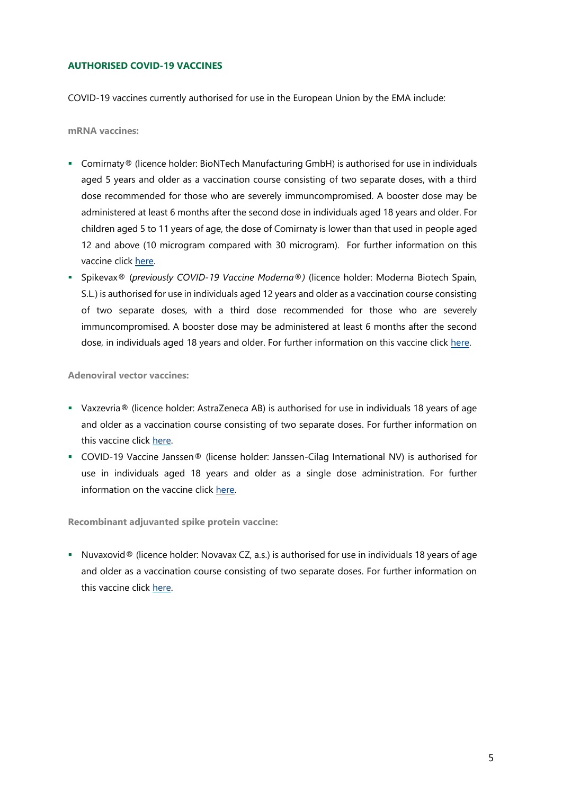#### **AUTHORISED COVID-19 VACCINES**

COVID-19 vaccines currently authorised for use in the European Union by the EMA include:

**mRNA vaccines:**

- Comirnaty® (licence holder: BioNTech Manufacturing GmbH) is authorised for use in individuals aged 5 years and older as a vaccination course consisting of two separate doses, with a third dose recommended for those who are severely immuncompromised. A booster dose may be administered at least 6 months after the second dose in individuals aged 18 years and older. For children aged 5 to 11 years of age, the dose of Comirnaty is lower than that used in people aged 12 and above (10 microgram compared with 30 microgram). For further information on this vaccine click [here.](https://www.ema.europa.eu/en/documents/product-information/comirnaty-epar-product-information_en.pdf)
- Spikevax® (*previously COVID-19 Vaccine Moderna®)* (licence holder: Moderna Biotech Spain, S.L.) is authorised for use in individuals aged 12 years and older as a vaccination course consisting of two separate doses, with a third dose recommended for those who are severely immuncompromised. A booster dose may be administered at least 6 months after the second dose, in individuals aged 18 years and older. For further information on this vaccine click [here.](https://www.ema.europa.eu/en/documents/product-information/spikevax-previously-covid-19-vaccine-moderna-epar-product-information_en.pdf)

**Adenoviral vector vaccines:**

- Vaxzevria® (licence holder: AstraZeneca AB) is authorised for use in individuals 18 years of age and older as a vaccination course consisting of two separate doses. For further information on this vaccine click [here.](https://www.ema.europa.eu/en/medicines/human/summaries-opinion/covid-19-vaccine-astrazeneca)
- COVID-19 Vaccine Janssen® (license holder: Janssen-Cilag International NV) is authorised for use in individuals aged 18 years and older as a single dose administration. For further information on the vaccine clic[k here.](https://www.ema.europa.eu/en/medicines/human/EPAR/covid-19-vaccine-janssen)

**Recombinant adjuvanted spike protein vaccine:**

Nuvaxovid<sup>®</sup> (licence holder: Novavax CZ, a.s.) is authorised for use in individuals 18 years of age and older as a vaccination course consisting of two separate doses. For further information on this vaccine click [here.](https://www.ema.europa.eu/en/medicines/human/EPAR/nuvaxovid)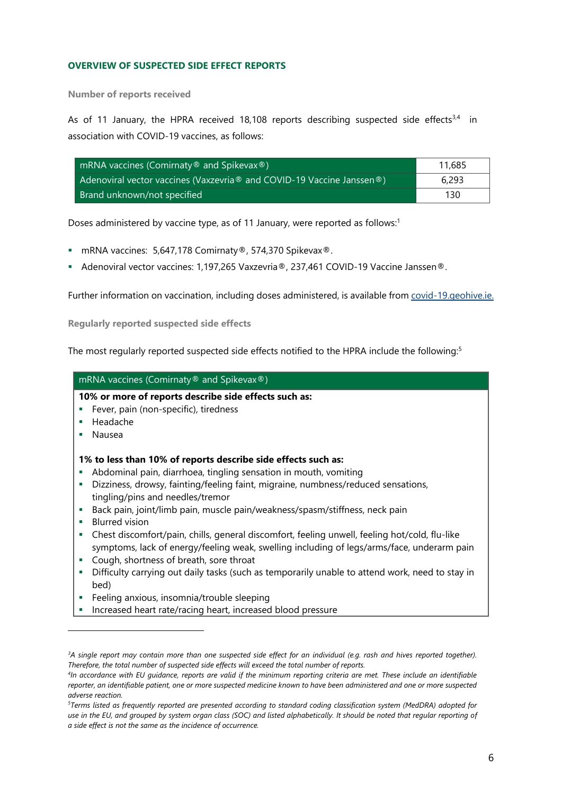#### <span id="page-5-0"></span>**OVERVIEW OF SUSPECTED SIDE EFFECT REPORTS**

**Number of reports received**

As of 11 January, the HPRA received 18,108 reports describing suspected side effects $3,4$  in association with COVID-19 vaccines, as follows:

| mRNA vaccines (Comirnaty $\circledast$ and Spikevax $\circledast$ )     | 11,685 |
|-------------------------------------------------------------------------|--------|
| Adenoviral vector vaccines (Vaxzevria ® and COVID-19 Vaccine Janssen ®) | 6.293  |
| Brand unknown/not specified                                             | 130    |

Doses administered by vaccine type, as of 11 January, were reported as follows: 1

- mRNA vaccines: 5,647,178 Comirnaty®, 574,370 Spikevax®.
- Adenoviral vector vaccines: 1,197,265 Vaxzevria®, 237,461 COVID-19 Vaccine Janssen®.

Further information on vaccination, including doses administered, is available fro[m covid-19.geohive.ie.](https://covid-19.geohive.ie/pages/vaccinations)

**Regularly reported suspected side effects**

 $\overline{a}$ 

The most regularly reported suspected side effects notified to the HPRA include the following:<sup>5</sup>

| mRNA vaccines (Comirnaty® and Spikevax®)                                                                                                                                                                                                                                                                                                                                                                                                                            |
|---------------------------------------------------------------------------------------------------------------------------------------------------------------------------------------------------------------------------------------------------------------------------------------------------------------------------------------------------------------------------------------------------------------------------------------------------------------------|
| 10% or more of reports describe side effects such as:<br>Fever, pain (non-specific), tiredness<br>Headache<br>×<br>Nausea                                                                                                                                                                                                                                                                                                                                           |
| 1% to less than 10% of reports describe side effects such as:<br>Abdominal pain, diarrhoea, tingling sensation in mouth, vomiting<br>Dizziness, drowsy, fainting/feeling faint, migraine, numbness/reduced sensations,<br>tingling/pins and needles/tremor<br>Back pain, joint/limb pain, muscle pain/weakness/spasm/stiffness, neck pain<br><b>Blurred vision</b><br>Chest discomfort/pain, chills, general discomfort, feeling unwell, feeling hot/cold, flu-like |
| symptoms, lack of energy/feeling weak, swelling including of legs/arms/face, underarm pain<br>Cough, shortness of breath, sore throat<br>ш<br>Difficulty carrying out daily tasks (such as temporarily unable to attend work, need to stay in<br>bed)                                                                                                                                                                                                               |
| Feeling anxious, insomnia/trouble sleeping<br>Increased heart rate/racing heart, increased blood pressure                                                                                                                                                                                                                                                                                                                                                           |

*<sup>3</sup>A single report may contain more than one suspected side effect for an individual (e.g. rash and hives reported together). Therefore, the total number of suspected side effects will exceed the total number of reports.* 

*<sup>4</sup> In accordance with EU guidance, reports are valid if the minimum reporting criteria are met. These include an identifiable reporter, an identifiable patient, one or more suspected medicine known to have been administered and one or more suspected adverse reaction.*

*<sup>5</sup>Terms listed as frequently reported are presented according to standard coding classification system (MedDRA) adopted for use in the EU, and grouped by system organ class (SOC) and listed alphabetically. It should be noted that regular reporting of a side effect is not the same as the incidence of occurrence.*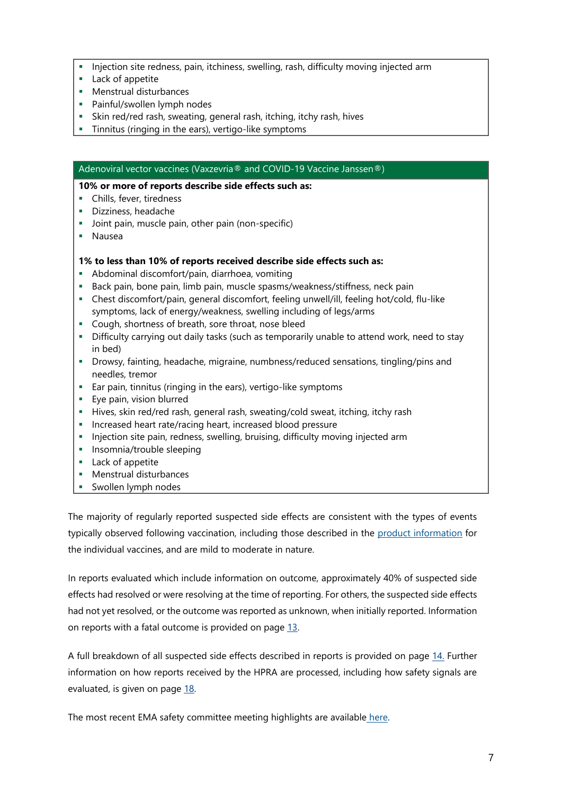- Injection site redness, pain, itchiness, swelling, rash, difficulty moving injected arm
- **Lack of appetite**
- **Menstrual disturbances**
- **Painful/swollen lymph nodes**
- Skin red/red rash, sweating, general rash, itching, itchy rash, hives
- Tinnitus (ringing in the ears), vertigo-like symptoms

#### Adenoviral vector vaccines (Vaxzevria® and COVID-19 Vaccine Janssen®)

#### **10% or more of reports describe side effects such as:**

- **Chills, fever, tiredness**
- Dizziness, headache
- **Joint pain, muscle pain, other pain (non-specific)**
- Nausea

#### **1% to less than 10% of reports received describe side effects such as:**

- Abdominal discomfort/pain, diarrhoea, vomiting
- **Back pain, bone pain, limb pain, muscle spasms/weakness/stiffness, neck pain**
- Chest discomfort/pain, general discomfort, feeling unwell/ill, feeling hot/cold, flu-like symptoms, lack of energy/weakness, swelling including of legs/arms
- **Cough, shortness of breath, sore throat, nose bleed**
- Difficulty carrying out daily tasks (such as temporarily unable to attend work, need to stay in bed)
- Drowsy, fainting, headache, migraine, numbness/reduced sensations, tingling/pins and needles, tremor
- Ear pain, tinnitus (ringing in the ears), vertigo-like symptoms
- **Eye pain, vision blurred**
- Hives, skin red/red rash, general rash, sweating/cold sweat, itching, itchy rash
- **Increased heart rate/racing heart, increased blood pressure**
- **Injection site pain, redness, swelling, bruising, difficulty moving injected arm**
- **Insomnia/trouble sleeping**
- **Lack of appetite**
- **Menstrual disturbances**
- Swollen lymph nodes

The majority of regularly reported suspected side effects are consistent with the types of events typically observed following vaccination, including those described in the [product information](https://www.hpra.ie/homepage/medicines/covid-19-updates/covid-19-vaccines-product-information) for the individual vaccines, and are mild to moderate in nature.

In reports evaluated which include information on outcome, approximately 40% of suspected side effects had resolved or were resolving at the time of reporting. For others, the suspected side effects had not yet resolved, or the outcome was reported as unknown, when initially reported. Information on reports with a fatal outcome is provided on page [13.](#page-12-0)

A full breakdown of all suspected side effects described in reports is provided on page [14.](#page-13-0) Further information on how reports received by the HPRA are processed, including how safety signals are evaluated, is given on page [18](#page-17-0).

<span id="page-6-0"></span>The most recent EMA safety committee meeting highlights are available [here.](https://www.ema.europa.eu/en/news/meeting-highlights-pharmacovigilance-risk-assessment-committee-prac-10-13-january-2022)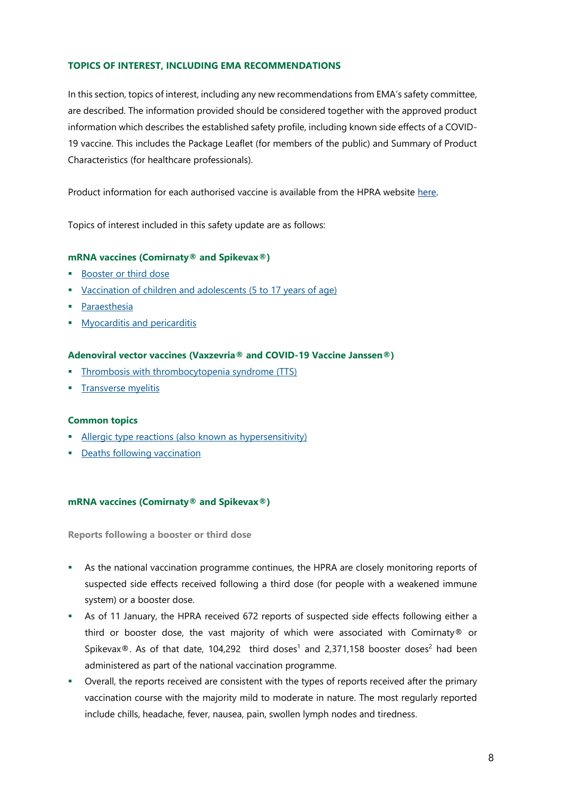#### **TOPICS OF INTEREST, INCLUDING EMA RECOMMENDATIONS**

In this section, topics of interest, including any new recommendations from EMA's safety committee, are described. The information provided should be considered together with the approved product information which describes the established safety profile, including known side effects of a COVID-19 vaccine. This includes the Package Leaflet (for members of the public) and Summary of Product Characteristics (for healthcare professionals).

Product information for each authorised vaccine is available from the HPRA website [here.](https://www.hpra.ie/homepage/medicines/covid-19-updates/covid-19-vaccines-product-information)

Topics of interest included in this safety update are as follows:

#### **mRNA vaccines (Comirnaty® and Spikevax®)**

- **Booster [or third dose](#page-7-1)**
- vaccination of children and adolescents (5 to 17 years of age)
- **[Paraesthesia](#page-8-1)**
- **[Myocarditis and pericarditis](#page-8-2)**

#### **Adenoviral vector vaccines (Vaxzevria® and COVID-19 Vaccine Janssen®)**

- [Thrombosis with thrombocytopenia syndrome \(TTS\)](#page-10-0)
- **Transverse myelitis**

#### **Common topics**

- **[Allergic type reactions \(also known as hypersensitivity\)](#page-11-1)**
- <span id="page-7-0"></span>**-** [Deaths following vaccination](#page-12-0)

#### **mRNA vaccines (Comirnaty® and Spikevax®)**

<span id="page-7-1"></span>**Reports following a booster or third dose**

- As the national vaccination programme continues, the HPRA are closely monitoring reports of suspected side effects received following a third dose (for people with a weakened immune system) or a booster dose.
- As of 11 January, the HPRA received 672 reports of suspected side effects following either a third or booster dose, the vast majority of which were associated with Comirnaty® or Spikevax®. As of that date, [1](#page-0-0)04,292 third do[s](#page-0-1)es<sup>1</sup> and 2,371,158 booster doses<sup>2</sup> had been administered as part of the national vaccination programme.
- Overall, the reports received are consistent with the types of reports received after the primary vaccination course with the majority mild to moderate in nature. The most regularly reported include chills, headache, fever, nausea, pain, swollen lymph nodes and tiredness.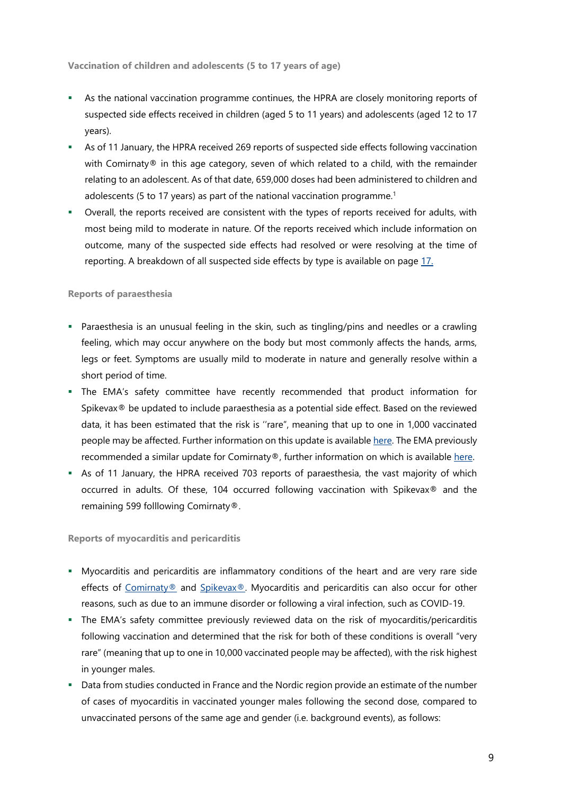<span id="page-8-0"></span>**Vaccination of children and adolescents (5 to 17 years of age)**

- As the national vaccination programme continues, the HPRA are closely monitoring reports of suspected side effects received in children (aged 5 to 11 years) and adolescents (aged 12 to 17 years).
- As of 11 January, the HPRA received 269 reports of suspected side effects following vaccination with Comirnaty<sup>®</sup> in this age category, seven of which related to a child, with the remainder relating to an adolescent. As of that date, 659,000 doses had been administered to children and adolescents (5 to 17 years) as part of the national vaccination programme.<sup>1</sup>
- Overall, the reports received are consistent with the types of reports received for adults, with most being mild to moderate in nature. Of the reports received which include information on outcome, many of the suspected side effects had resolved or were resolving at the time of reporting. A breakdown of all suspected side effects by type is available on page [17.](#page-15-0)

#### <span id="page-8-1"></span>**Reports of paraesthesia**

- Paraesthesia is an unusual feeling in the skin, such as tingling/pins and needles or a crawling feeling, which may occur anywhere on the body but most commonly affects the hands, arms, legs or feet. Symptoms are usually mild to moderate in nature and generally resolve within a short period of time.
- The EMA's safety committee have recently recommended that product information for Spikevax® be updated to include paraesthesia as a potential side effect. Based on the reviewed data, it has been estimated that the risk is ''rare", meaning that up to one in 1,000 vaccinated people may be affected. Further information on this update is available [here.](https://www.ema.europa.eu/en/documents/covid-19-vaccine-safety-update/covid-19-vaccines-safety-update-20-january-2022_en.pdf) The EMA previously recommended a similar update for Comirnaty®, further information on which is available here.
- As of 11 January, the HPRA received 703 reports of paraesthesia, the vast majority of which occurred in adults. Of these, 104 occurred following vaccination with Spikevax® and the remaining 599 folllowing Comirnaty®.

<span id="page-8-2"></span>**Reports of myocarditis and pericarditis**

- Myocarditis and pericarditis are inflammatory conditions of the heart and are very rare side effects of [Comirnaty®](https://www.ema.europa.eu/en/documents/product-information/comirnaty-epar-product-information_en.pdf) and [Spikevax®.](https://www.ema.europa.eu/en/documents/product-information/spikevax-previously-covid-19-vaccine-moderna-epar-product-information_en.pdf) Myocarditis and pericarditis can also occur for other reasons, such as due to an immune disorder or following a viral infection, such as COVID-19.
- The EMA's safety committee previously reviewed data on the risk of myocarditis/pericarditis following vaccination and determined that the risk for both of these conditions is overall "very rare" (meaning that up to one in 10,000 vaccinated people may be affected), with the risk highest in younger males.
- Data from studies conducted in France and the Nordic region provide an estimate of the number of cases of myocarditis in vaccinated younger males following the second dose, compared to unvaccinated persons of the same age and gender (i.e. background events), as follows: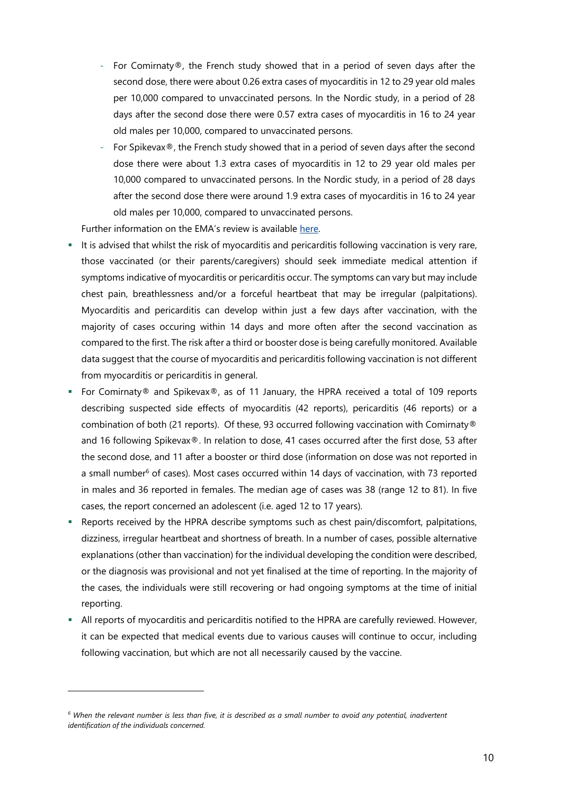- For Comirnaty®, the French study showed that in a period of seven days after the second dose, there were about 0.26 extra cases of myocarditis in 12 to 29 year old males per 10,000 compared to unvaccinated persons. In the Nordic study, in a period of 28 days after the second dose there were 0.57 extra cases of myocarditis in 16 to 24 year old males per 10,000, compared to unvaccinated persons.
- For Spikevax®, the French study showed that in a period of seven days after the second dose there were about 1.3 extra cases of myocarditis in 12 to 29 year old males per 10,000 compared to unvaccinated persons. In the Nordic study, in a period of 28 days after the second dose there were around 1.9 extra cases of myocarditis in 16 to 24 year old males per 10,000, compared to unvaccinated persons.

Further information on the EMA's review is available [here.](https://www.ema.europa.eu/en/news/meeting-highlights-pharmacovigilance-risk-assessment-committee-prac-29-november-2-december-2021)

- It is advised that whilst the risk of myocarditis and pericarditis following vaccination is very rare, those vaccinated (or their parents/caregivers) should seek immediate medical attention if symptoms indicative of myocarditis or pericarditis occur. The symptoms can vary but may include chest pain, breathlessness and/or a forceful heartbeat that may be irregular (palpitations). Myocarditis and pericarditis can develop within just a few days after vaccination, with the majority of cases occuring within 14 days and more often after the second vaccination as compared to the first. The risk after a third or booster dose is being carefully monitored. Available data suggest that the course of myocarditis and pericarditis following vaccination is not different from myocarditis or pericarditis in general.
- For Comirnaty® and Spikevax®, as of 11 January, the HPRA received a total of 109 reports describing suspected side effects of myocarditis (42 reports), pericarditis (46 reports) or a combination of both (21 reports). Of these, 93 occurred following vaccination with Comirnaty® and 16 following Spikevax®. In relation to dose, 41 cases occurred after the first dose, 53 after the second dose, and 11 after a booster or third dose (information on dose was not reported in a small number<sup>6</sup> of cases). Most cases occurred within 14 days of vaccination, with 73 reported in males and 36 reported in females. The median age of cases was 38 (range 12 to 81). In five cases, the report concerned an adolescent (i.e. aged 12 to 17 years).
- Reports received by the HPRA describe symptoms such as chest pain/discomfort, palpitations, dizziness, irregular heartbeat and shortness of breath. In a number of cases, possible alternative explanations (other than vaccination) for the individual developing the condition were described, or the diagnosis was provisional and not yet finalised at the time of reporting. In the majority of the cases, the individuals were still recovering or had ongoing symptoms at the time of initial reporting.
- <span id="page-9-0"></span> All reports of myocarditis and pericarditis notified to the HPRA are carefully reviewed. However, it can be expected that medical events due to various causes will continue to occur, including following vaccination, but which are not all necessarily caused by the vaccine.

 $\overline{a}$ 

<span id="page-9-1"></span>*<sup>6</sup> When the relevant number is less than five, it is described as a small number to avoid any potential, inadvertent identification of the individuals concerned.*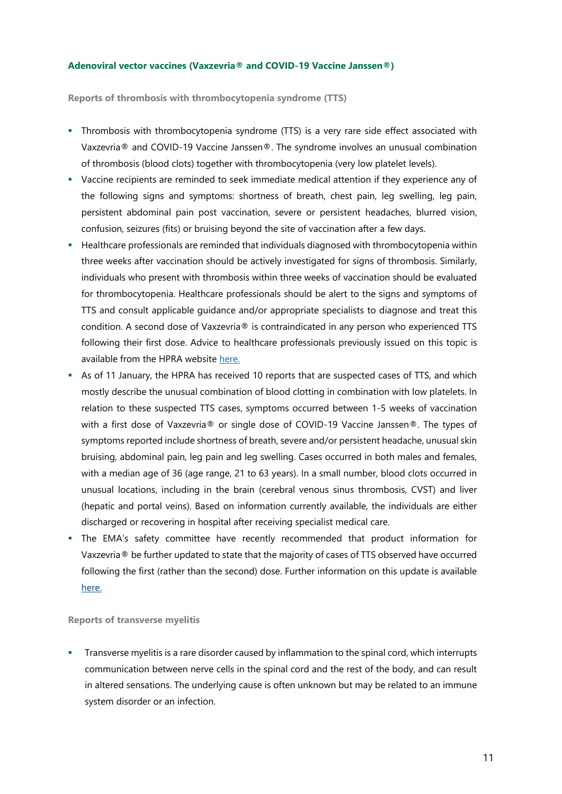#### **Adenoviral vector vaccines (Vaxzevria® and COVID-19 Vaccine Janssen®)**

<span id="page-10-0"></span>**Reports of thrombosis with thrombocytopenia syndrome (TTS)** 

- Thrombosis with thrombocytopenia syndrome (TTS) is a very rare side effect associated with Vaxzevria® and COVID-19 Vaccine Janssen®. The syndrome involves an unusual combination of thrombosis (blood clots) together with thrombocytopenia (very low platelet levels).
- Vaccine recipients are reminded to seek immediate medical attention if they experience any of the following signs and symptoms: shortness of breath, chest pain, leg swelling, leg pain, persistent abdominal pain post vaccination, severe or persistent headaches, blurred vision, confusion, seizures (fits) or bruising beyond the site of vaccination after a few days.
- **Healthcare professionals are reminded that individuals diagnosed with thrombocytopenia within** three weeks after vaccination should be actively investigated for signs of thrombosis. Similarly, individuals who present with thrombosis within three weeks of vaccination should be evaluated for thrombocytopenia. Healthcare professionals should be alert to the signs and symptoms of TTS and consult applicable guidance and/or appropriate specialists to diagnose and treat this condition. A second dose of Vaxzevria® is contraindicated in any person who experienced TTS following their first dose. Advice to healthcare professionals previously issued on this topic is available from the HPRA website [here.](http://www.hpra.ie/homepage/medicines/covid-19-updates/covid-19-vaccine-communications)
- As of 11 January, the HPRA has received 10 reports that are suspected cases of TTS, and which mostly describe the unusual combination of blood clotting in combination with low platelets. In relation to these suspected TTS cases, symptoms occurred between 1-5 weeks of vaccination with a first dose of Vaxzevria® or single dose of COVID-19 Vaccine Janssen®. The types of symptoms reported include shortness of breath, severe and/or persistent headache, unusual skin bruising, abdominal pain, leg pain and leg swelling. Cases occurred in both males and females, with a median age of 36 (age range, 21 to 63 years). In a small number, blood clots occurred in unusual locations, including in the brain (cerebral venous sinus thrombosis, CVST) and liver (hepatic and portal veins). Based on information currently available, the individuals are either discharged or recovering in hospital after receiving specialist medical care.
- The EMA's safety committee have recently recommended that product information for Vaxzevria® be further updated to state that the majority of cases of TTS observed have occurred following the first (rather than the second) dose. Further information on this update is available [here.](https://www.ema.europa.eu/en/documents/covid-19-vaccine-safety-update/covid-19-vaccines-safety-update-20-january-2022_en.pdf)

#### <span id="page-10-1"></span>**Reports of transverse myelitis**

**Transverse myelitis is a rare disorder caused by inflammation to the spinal cord, which interrupts** communication between nerve cells in the spinal cord and the rest of the body, and can result in altered sensations. The underlying cause is often unknown but may be related to an immune system disorder or an infection.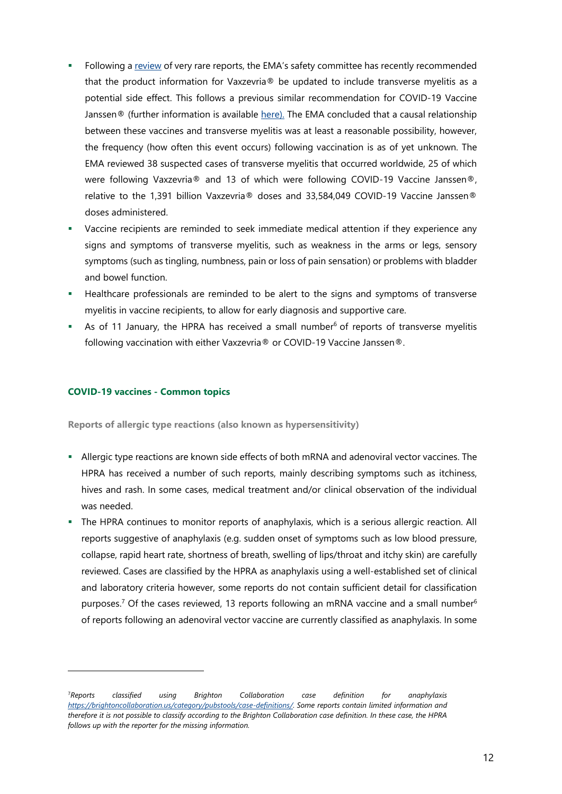- Following [a review](https://www.ema.europa.eu/en/news/meeting-highlights-pharmacovigilance-risk-assessment-committee-prac-10-13-january-2022) of very rare reports, the EMA's safety committee has recently recommended that the product information for Vaxzevria® be updated to include transverse myelitis as a potential side effect. This follows a previous similar recommendation for COVID-19 Vaccine Janssen<sup>®</sup> (further information is available [here\).](https://www.ema.europa.eu/en/documents/covid-19-vaccine-safety-update/covid-19-vaccine-safety-update-covid-19-vaccine-janssen-6-october-2021_en.pdf) The EMA concluded that a causal relationship between these vaccines and transverse myelitis was at least a reasonable possibility, however, the frequency (how often this event occurs) following vaccination is as of yet unknown. The EMA reviewed 38 suspected cases of transverse myelitis that occurred worldwide, 25 of which were following Vaxzevria® and 13 of which were following COVID-19 Vaccine Janssen®, relative to the 1,391 billion Vaxzevria® doses and 33,584,049 COVID-19 Vaccine Janssen® doses administered.
- Vaccine recipients are reminded to seek immediate medical attention if they experience any signs and symptoms of transverse myelitis, such as weakness in the arms or legs, sensory symptoms (such as tingling, numbness, pain or loss of pain sensation) or problems with bladder and bowel function.
- Healthcare professionals are reminded to be alert to the signs and symptoms of transverse myelitis in vaccine recipients, to allow for early diagnosis and supportive care.
- As of 11 Janua[r](#page-9-1)y, the HPRA has received a small number<sup>6</sup> of reports of transverse myelitis following vaccination with either Vaxzevria® or COVID-19 Vaccine Janssen®.

#### <span id="page-11-0"></span>**COVID-19 vaccines - Common topics**

 $\overline{a}$ 

<span id="page-11-1"></span>**Reports of allergic type reactions (also known as hypersensitivity)** 

- Allergic type reactions are known side effects of both mRNA and adenoviral vector vaccines. The HPRA has received a number of such reports, mainly describing symptoms such as itchiness, hives and rash. In some cases, medical treatment and/or clinical observation of the individual was needed.
- The HPRA continues to monitor reports of anaphylaxis, which is a serious allergic reaction. All reports suggestive of anaphylaxis (e.g. sudden onset of symptoms such as low blood pressure, collapse, rapid heart rate, shortness of breath, swelling of lips/throat and itchy skin) are carefully reviewed. Cases are classified by the HPRA as anaphylaxis using a well-established set of clinical and laboratory criteria however, some reports do not contain sufficient detail for classification purposes.<sup>7</sup> Of the cases reviewed, 13 reports following an mRNA vaccine and a small number<sup>[6](#page-9-1)</sup> of reports following an adenoviral vector vaccine are currently classified as anaphylaxis. In some

<sup>7</sup>*Reports classified using Brighton Collaboration case definition for anaphylaxis <https://brightoncollaboration.us/category/pubstools/case-definitions/>*. *Some reports contain limited information and therefore it is not possible to classify according to the Brighton Collaboration case definition. In these case, the HPRA follows up with the reporter for the missing information.*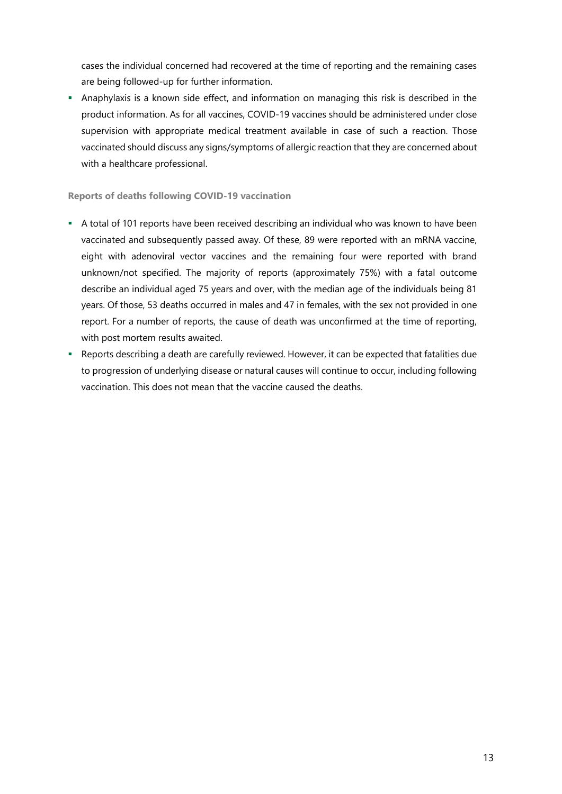cases the individual concerned had recovered at the time of reporting and the remaining cases are being followed-up for further information.

 Anaphylaxis is a known side effect, and information on managing this risk is described in the product information. As for all vaccines, COVID-19 vaccines should be administered under close supervision with appropriate medical treatment available in case of such a reaction. Those vaccinated should discuss any signs/symptoms of allergic reaction that they are concerned about with a healthcare professional.

<span id="page-12-0"></span>**Reports of deaths following COVID-19 vaccination**

- A total of 101 reports have been received describing an individual who was known to have been vaccinated and subsequently passed away. Of these, 89 were reported with an mRNA vaccine, eight with adenoviral vector vaccines and the remaining four were reported with brand unknown/not specified. The majority of reports (approximately 75%) with a fatal outcome describe an individual aged 75 years and over, with the median age of the individuals being 81 years. Of those, 53 deaths occurred in males and 47 in females, with the sex not provided in one report. For a number of reports, the cause of death was unconfirmed at the time of reporting, with post mortem results awaited.
- Reports describing a death are carefully reviewed. However, it can be expected that fatalities due to progression of underlying disease or natural causes will continue to occur, including following vaccination. This does not mean that the vaccine caused the deaths.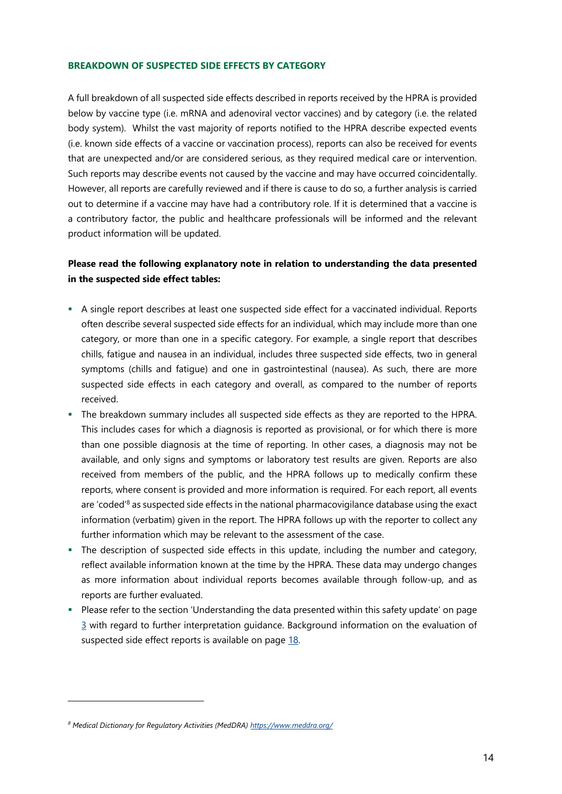#### <span id="page-13-0"></span>**BREAKDOWN OF SUSPECTED SIDE EFFECTS BY CATEGORY**

A full breakdown of all suspected side effects described in reports received by the HPRA is provided below by vaccine type (i.e. mRNA and adenoviral vector vaccines) and by category (i.e. the related body system). Whilst the vast majority of reports notified to the HPRA describe expected events (i.e. known side effects of a vaccine or vaccination process), reports can also be received for events that are unexpected and/or are considered serious, as they required medical care or intervention. Such reports may describe events not caused by the vaccine and may have occurred coincidentally. However, all reports are carefully reviewed and if there is cause to do so, a further analysis is carried out to determine if a vaccine may have had a contributory role. If it is determined that a vaccine is a contributory factor, the public and healthcare professionals will be informed and the relevant product information will be updated.

## **Please read the following explanatory note in relation to understanding the data presented in the suspected side effect tables:**

- A single report describes at least one suspected side effect for a vaccinated individual. Reports often describe several suspected side effects for an individual, which may include more than one category, or more than one in a specific category. For example, a single report that describes chills, fatigue and nausea in an individual, includes three suspected side effects, two in general symptoms (chills and fatigue) and one in gastrointestinal (nausea). As such, there are more suspected side effects in each category and overall, as compared to the number of reports received.
- The breakdown summary includes all suspected side effects as they are reported to the HPRA. This includes cases for which a diagnosis is reported as provisional, or for which there is more than one possible diagnosis at the time of reporting. In other cases, a diagnosis may not be available, and only signs and symptoms or laboratory test results are given. Reports are also received from members of the public, and the HPRA follows up to medically confirm these reports, where consent is provided and more information is required. For each report, all events are 'coded'<sup>8</sup> as suspected side effects in the national pharmacovigilance database using the exact information (verbatim) given in the report. The HPRA follows up with the reporter to collect any further information which may be relevant to the assessment of the case.
- The description of suspected side effects in this update, including the number and category, reflect available information known at the time by the HPRA. These data may undergo changes as more information about individual reports becomes available through follow-up, and as reports are further evaluated.
- Please refer to the section 'Understanding the data presented within this safety update' on page [3](#page-2-0) with regard to further interpretation guidance. Background information on the evaluation of suspected side effect reports is available on page [18.](#page-17-0)

 $\overline{a}$ 

*<sup>8</sup> Medical Dictionary for Regulatory Activities (MedDRA)<https://www.meddra.org/>*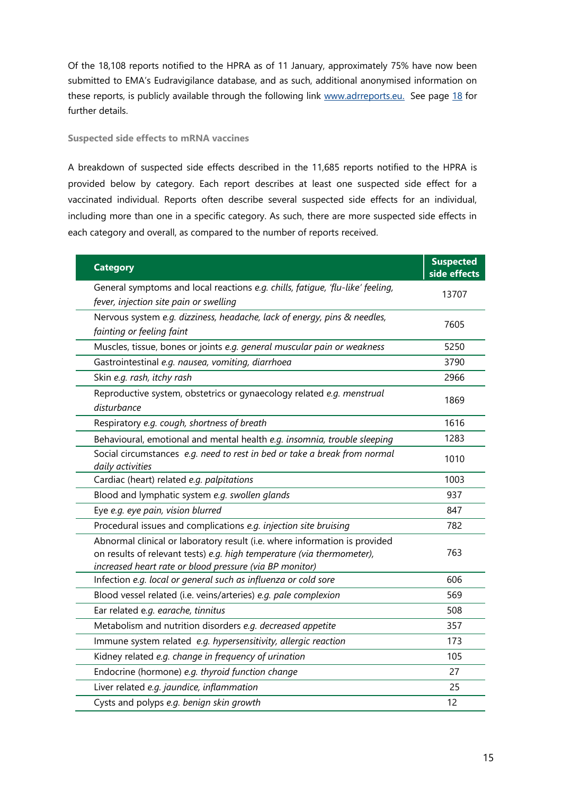Of the 18,108 reports notified to the HPRA as of 11 January, approximately 75% have now been submitted to EMA's Eudravigilance database, and as such, additional anonymised information on these reports, is publicly available through the following link [www.adrreports.eu.](http://www.adrreports.eu/) See page [18](#page-17-0) for further details.

#### **Suspected side effects to mRNA vaccines**

A breakdown of suspected side effects described in the 11,685 reports notified to the HPRA is provided below by category. Each report describes at least one suspected side effect for a vaccinated individual. Reports often describe several suspected side effects for an individual, including more than one in a specific category. As such, there are more suspected side effects in each category and overall, as compared to the number of reports received.

| <b>Category</b>                                                                                                                                                                                                 | <b>Suspected</b><br>side effects |
|-----------------------------------------------------------------------------------------------------------------------------------------------------------------------------------------------------------------|----------------------------------|
| General symptoms and local reactions e.g. chills, fatigue, 'flu-like' feeling,<br>fever, injection site pain or swelling                                                                                        | 13707                            |
| Nervous system e.g. dizziness, headache, lack of energy, pins & needles,<br>fainting or feeling faint                                                                                                           | 7605                             |
| Muscles, tissue, bones or joints e.g. general muscular pain or weakness                                                                                                                                         | 5250                             |
| Gastrointestinal e.g. nausea, vomiting, diarrhoea                                                                                                                                                               | 3790                             |
| Skin e.g. rash, itchy rash                                                                                                                                                                                      | 2966                             |
| Reproductive system, obstetrics or gynaecology related e.g. menstrual<br>disturbance                                                                                                                            | 1869                             |
| Respiratory e.g. cough, shortness of breath                                                                                                                                                                     | 1616                             |
| Behavioural, emotional and mental health e.g. insomnia, trouble sleeping                                                                                                                                        | 1283                             |
| Social circumstances e.g. need to rest in bed or take a break from normal<br>daily activities                                                                                                                   | 1010                             |
| Cardiac (heart) related e.g. palpitations                                                                                                                                                                       | 1003                             |
| Blood and lymphatic system e.g. swollen glands                                                                                                                                                                  | 937                              |
| Eye e.g. eye pain, vision blurred                                                                                                                                                                               | 847                              |
| Procedural issues and complications e.g. injection site bruising                                                                                                                                                | 782                              |
| Abnormal clinical or laboratory result (i.e. where information is provided<br>on results of relevant tests) e.g. high temperature (via thermometer),<br>increased heart rate or blood pressure (via BP monitor) | 763                              |
| Infection e.g. local or general such as influenza or cold sore                                                                                                                                                  | 606                              |
| Blood vessel related (i.e. veins/arteries) e.g. pale complexion                                                                                                                                                 | 569                              |
| Ear related e.g. earache, tinnitus                                                                                                                                                                              | 508                              |
| Metabolism and nutrition disorders e.g. decreased appetite                                                                                                                                                      | 357                              |
| Immune system related e.g. hypersensitivity, allergic reaction                                                                                                                                                  | 173                              |
| Kidney related e.g. change in frequency of urination                                                                                                                                                            | 105                              |
| Endocrine (hormone) e.g. thyroid function change                                                                                                                                                                | 27                               |
| Liver related e.g. jaundice, inflammation                                                                                                                                                                       | 25                               |
| Cysts and polyps e.g. benign skin growth                                                                                                                                                                        | 12                               |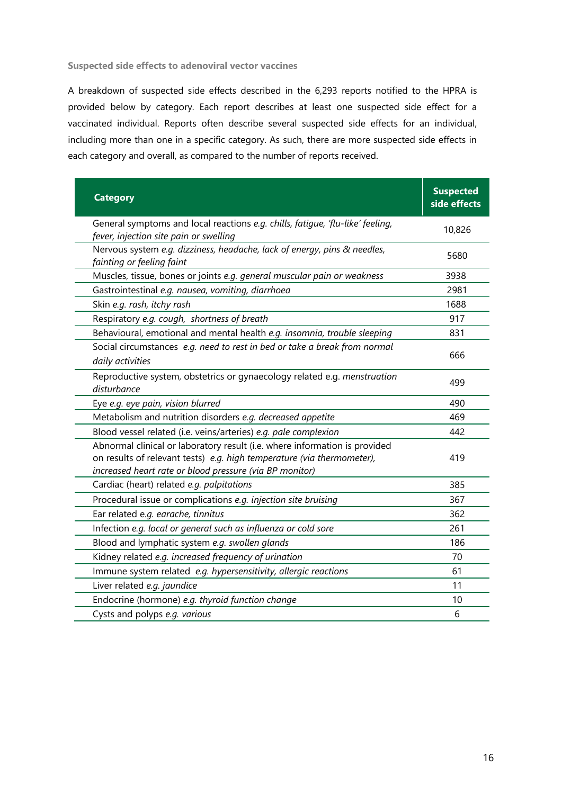**Suspected side effects to adenoviral vector vaccines** 

A breakdown of suspected side effects described in the 6,293 reports notified to the HPRA is provided below by category. Each report describes at least one suspected side effect for a vaccinated individual. Reports often describe several suspected side effects for an individual, including more than one in a specific category. As such, there are more suspected side effects in each category and overall, as compared to the number of reports received.

<span id="page-15-0"></span>

| <b>Category</b>                                                                                                                                                                                                 | <b>Suspected</b><br>side effects |
|-----------------------------------------------------------------------------------------------------------------------------------------------------------------------------------------------------------------|----------------------------------|
| General symptoms and local reactions e.g. chills, fatigue, 'flu-like' feeling,<br>fever, injection site pain or swelling                                                                                        | 10,826                           |
| Nervous system e.g. dizziness, headache, lack of energy, pins & needles,<br>fainting or feeling faint                                                                                                           | 5680                             |
| Muscles, tissue, bones or joints e.g. general muscular pain or weakness                                                                                                                                         | 3938                             |
| Gastrointestinal e.g. nausea, vomiting, diarrhoea                                                                                                                                                               | 2981                             |
| Skin e.g. rash, itchy rash                                                                                                                                                                                      | 1688                             |
| Respiratory e.g. cough, shortness of breath                                                                                                                                                                     | 917                              |
| Behavioural, emotional and mental health e.g. insomnia, trouble sleeping                                                                                                                                        | 831                              |
| Social circumstances e.g. need to rest in bed or take a break from normal<br>daily activities                                                                                                                   | 666                              |
| Reproductive system, obstetrics or gynaecology related e.g. menstruation<br>disturbance                                                                                                                         | 499                              |
| Eye e.g. eye pain, vision blurred                                                                                                                                                                               | 490                              |
| Metabolism and nutrition disorders e.g. decreased appetite                                                                                                                                                      | 469                              |
| Blood vessel related (i.e. veins/arteries) e.g. pale complexion                                                                                                                                                 | 442                              |
| Abnormal clinical or laboratory result (i.e. where information is provided<br>on results of relevant tests) e.g. high temperature (via thermometer),<br>increased heart rate or blood pressure (via BP monitor) | 419                              |
| Cardiac (heart) related e.g. palpitations                                                                                                                                                                       | 385                              |
| Procedural issue or complications e.g. injection site bruising                                                                                                                                                  | 367                              |
| Ear related e.g. earache, tinnitus                                                                                                                                                                              | 362                              |
| Infection e.g. local or general such as influenza or cold sore                                                                                                                                                  | 261                              |
| Blood and lymphatic system e.g. swollen glands                                                                                                                                                                  | 186                              |
| Kidney related e.g. increased frequency of urination                                                                                                                                                            | 70                               |
| Immune system related e.g. hypersensitivity, allergic reactions                                                                                                                                                 | 61                               |
| Liver related e.g. jaundice                                                                                                                                                                                     | 11                               |
| Endocrine (hormone) e.g. thyroid function change                                                                                                                                                                | 10                               |
| Cysts and polyps e.g. various                                                                                                                                                                                   | 6                                |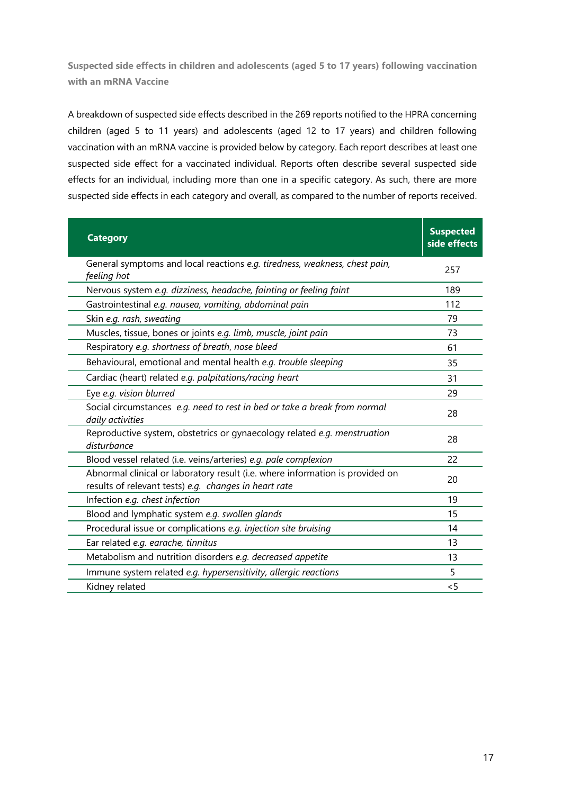**Suspected side effects in children and adolescents (aged 5 to 17 years) following vaccination with an mRNA Vaccine**

A breakdown of suspected side effects described in the 269 reports notified to the HPRA concerning children (aged 5 to 11 years) and adolescents (aged 12 to 17 years) and children following vaccination with an mRNA vaccine is provided below by category. Each report describes at least one suspected side effect for a vaccinated individual. Reports often describe several suspected side effects for an individual, including more than one in a specific category. As such, there are more suspected side effects in each category and overall, as compared to the number of reports received.

| <b>Category</b>                                                                                                                        | <b>Suspected</b><br>side effects |
|----------------------------------------------------------------------------------------------------------------------------------------|----------------------------------|
| General symptoms and local reactions e.g. tiredness, weakness, chest pain,<br>feeling hot                                              | 257                              |
| Nervous system e.g. dizziness, headache, fainting or feeling faint                                                                     | 189                              |
| Gastrointestinal e.g. nausea, vomiting, abdominal pain                                                                                 | 112                              |
| Skin e.g. rash, sweating                                                                                                               | 79                               |
| Muscles, tissue, bones or joints e.g. limb, muscle, joint pain                                                                         | 73                               |
| Respiratory e.g. shortness of breath, nose bleed                                                                                       | 61                               |
| Behavioural, emotional and mental health e.g. trouble sleeping                                                                         | 35                               |
| Cardiac (heart) related e.g. palpitations/racing heart                                                                                 | 31                               |
| Eye e.g. vision blurred                                                                                                                | 29                               |
| Social circumstances e.g. need to rest in bed or take a break from normal<br>daily activities                                          | 28                               |
| Reproductive system, obstetrics or gynaecology related e.g. menstruation<br>disturbance                                                | 28                               |
| Blood vessel related (i.e. veins/arteries) e.g. pale complexion                                                                        | 22                               |
| Abnormal clinical or laboratory result (i.e. where information is provided on<br>results of relevant tests) e.g. changes in heart rate | 20                               |
| Infection e.g. chest infection                                                                                                         | 19                               |
| Blood and lymphatic system e.g. swollen glands                                                                                         | 15                               |
| Procedural issue or complications e.g. injection site bruising                                                                         | 14                               |
| Ear related e.g. earache, tinnitus                                                                                                     | 13                               |
| Metabolism and nutrition disorders e.g. decreased appetite                                                                             | 13                               |
| Immune system related e.g. hypersensitivity, allergic reactions                                                                        | 5                                |
| Kidney related                                                                                                                         | $\leq$ 5                         |